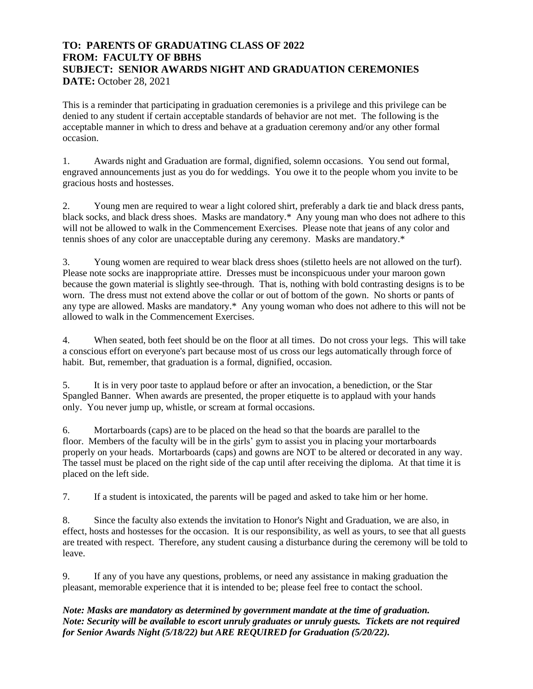## **TO: PARENTS OF GRADUATING CLASS OF 2022 FROM: FACULTY OF BBHS SUBJECT: SENIOR AWARDS NIGHT AND GRADUATION CEREMONIES DATE:** October 28, 2021

This is a reminder that participating in graduation ceremonies is a privilege and this privilege can be denied to any student if certain acceptable standards of behavior are not met. The following is the acceptable manner in which to dress and behave at a graduation ceremony and/or any other formal occasion.

1. Awards night and Graduation are formal, dignified, solemn occasions. You send out formal, engraved announcements just as you do for weddings. You owe it to the people whom you invite to be gracious hosts and hostesses.

2. Young men are required to wear a light colored shirt, preferably a dark tie and black dress pants, black socks, and black dress shoes. Masks are mandatory.\* Any young man who does not adhere to this will not be allowed to walk in the Commencement Exercises. Please note that jeans of any color and tennis shoes of any color are unacceptable during any ceremony. Masks are mandatory.\*

3. Young women are required to wear black dress shoes (stiletto heels are not allowed on the turf). Please note socks are inappropriate attire. Dresses must be inconspicuous under your maroon gown because the gown material is slightly see-through. That is, nothing with bold contrasting designs is to be worn. The dress must not extend above the collar or out of bottom of the gown. No shorts or pants of any type are allowed. Masks are mandatory.\* Any young woman who does not adhere to this will not be allowed to walk in the Commencement Exercises.

4. When seated, both feet should be on the floor at all times. Do not cross your legs. This will take a conscious effort on everyone's part because most of us cross our legs automatically through force of habit. But, remember, that graduation is a formal, dignified, occasion.

5. It is in very poor taste to applaud before or after an invocation, a benediction, or the Star Spangled Banner. When awards are presented, the proper etiquette is to applaud with your hands only. You never jump up, whistle, or scream at formal occasions.

6. Mortarboards (caps) are to be placed on the head so that the boards are parallel to the floor. Members of the faculty will be in the girls' gym to assist you in placing your mortarboards properly on your heads. Mortarboards (caps) and gowns are NOT to be altered or decorated in any way. The tassel must be placed on the right side of the cap until after receiving the diploma. At that time it is placed on the left side.

7. If a student is intoxicated, the parents will be paged and asked to take him or her home.

8. Since the faculty also extends the invitation to Honor's Night and Graduation, we are also, in effect, hosts and hostesses for the occasion. It is our responsibility, as well as yours, to see that all guests are treated with respect. Therefore, any student causing a disturbance during the ceremony will be told to leave.

9. If any of you have any questions, problems, or need any assistance in making graduation the pleasant, memorable experience that it is intended to be; please feel free to contact the school.

## *Note: Masks are mandatory as determined by government mandate at the time of graduation. Note: Security will be available to escort unruly graduates or unruly guests. Tickets are not required for Senior Awards Night (5/18/22) but ARE REQUIRED for Graduation (5/20/22).*